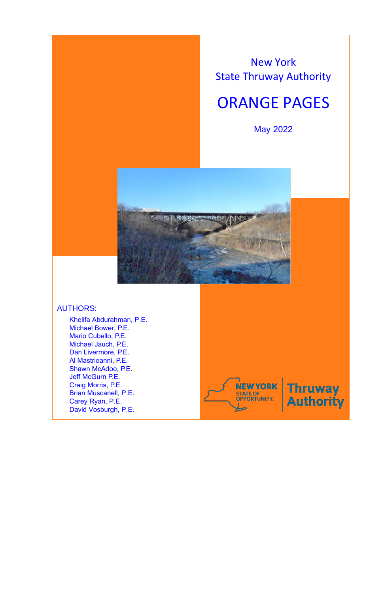New York State Thruway Authority

# ORANGE PAGES

May 2022



# AUTHORS:

Khelifa Abdurahman, P.E. Michael Bower, P.E. Mario Cubello, P.E. Michael Jauch, P.E. Dan Livermore, P.E. Al Mastrioanni, P.E. Shawn McAdoo, P.E. Jeff McGurn P.E. Craig Morris, P.E. Brian Muscanell, P.E. Carey Ryan, P.E. David Vosburgh, P.E.



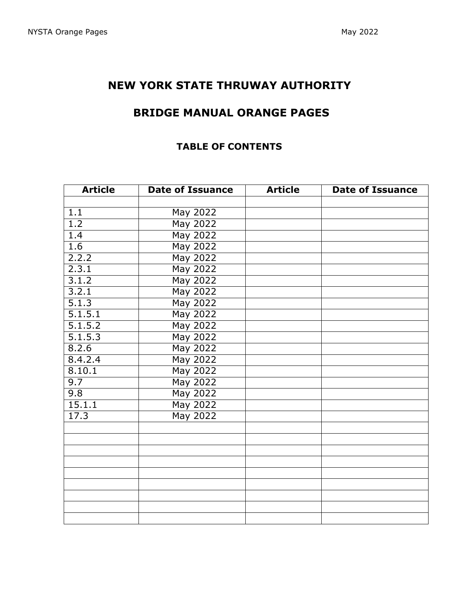# **NEW YORK STATE THRUWAY AUTHORITY**

# **BRIDGE MANUAL ORANGE PAGES**

# **TABLE OF CONTENTS**

| <b>Article</b><br><b>Date of Issuance</b> |                 | <b>Article</b> | <b>Date of Issuance</b> |  |
|-------------------------------------------|-----------------|----------------|-------------------------|--|
|                                           |                 |                |                         |  |
| 1.1                                       | May 2022        |                |                         |  |
| 1.2                                       | May 2022        |                |                         |  |
| 1.4                                       | May 2022        |                |                         |  |
| 1.6                                       | <b>May 2022</b> |                |                         |  |
| 2.2.2                                     | <b>May 2022</b> |                |                         |  |
| 2.3.1                                     | <b>May 2022</b> |                |                         |  |
| 3.1.2                                     | <b>May 2022</b> |                |                         |  |
| 3.2.1                                     | May 2022        |                |                         |  |
| 5.1.3                                     | May 2022        |                |                         |  |
| 5.1.5.1                                   | <b>May 2022</b> |                |                         |  |
| 5.1.5.2                                   | <b>May 2022</b> |                |                         |  |
| 5.1.5.3                                   | <b>May 2022</b> |                |                         |  |
| 8.2.6                                     | <b>May 2022</b> |                |                         |  |
| 8.4.2.4                                   | May 2022        |                |                         |  |
| 8.10.1                                    | May 2022        |                |                         |  |
| 9.7                                       | May 2022        |                |                         |  |
| 9.8                                       | May 2022        |                |                         |  |
| 15.1.1                                    | May 2022        |                |                         |  |
| 17.3                                      | May 2022        |                |                         |  |
|                                           |                 |                |                         |  |
|                                           |                 |                |                         |  |
|                                           |                 |                |                         |  |
|                                           |                 |                |                         |  |
|                                           |                 |                |                         |  |
|                                           |                 |                |                         |  |
|                                           |                 |                |                         |  |
|                                           |                 |                |                         |  |
|                                           |                 |                |                         |  |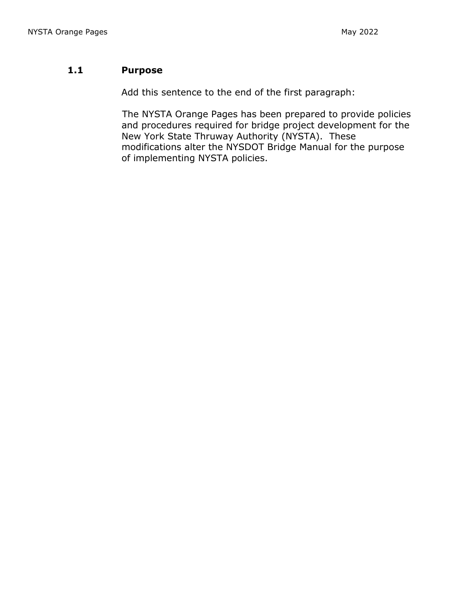## **1.1 Purpose**

Add this sentence to the end of the first paragraph:

The NYSTA Orange Pages has been prepared to provide policies and procedures required for bridge project development for the New York State Thruway Authority (NYSTA). These modifications alter the NYSDOT Bridge Manual for the purpose of implementing NYSTA policies.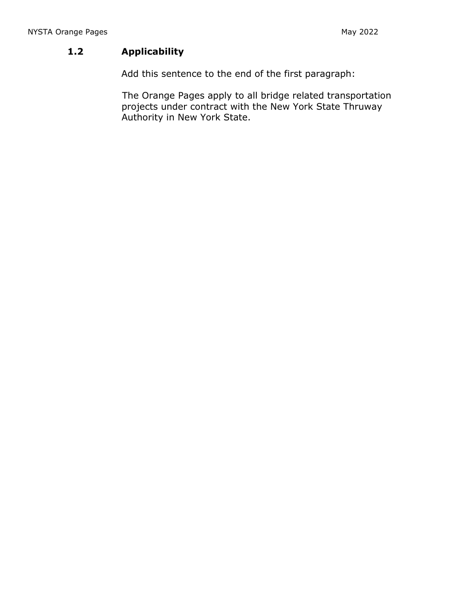# **1.2 Applicability**

Add this sentence to the end of the first paragraph:

The Orange Pages apply to all bridge related transportation projects under contract with the New York State Thruway Authority in New York State.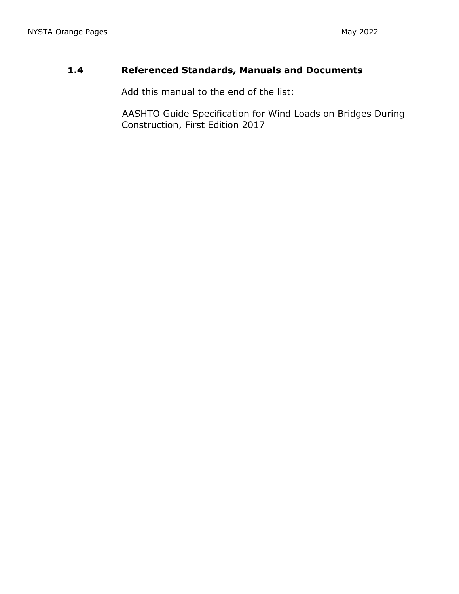# **1.4 Referenced Standards, Manuals and Documents**

Add this manual to the end of the list:

AASHTO Guide Specification for Wind Loads on Bridges During Construction, First Edition 2017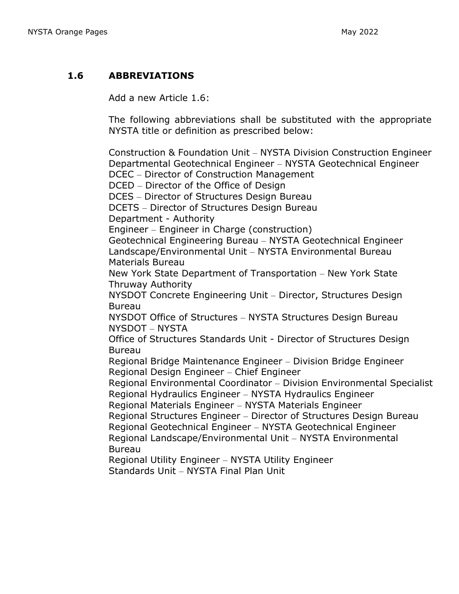## **1.6 ABBREVIATIONS**

Add a new Article 1.6:

The following abbreviations shall be substituted with the appropriate NYSTA title or definition as prescribed below:

Construction & Foundation Unit – NYSTA Division Construction Engineer Departmental Geotechnical Engineer – NYSTA Geotechnical Engineer DCEC – Director of Construction Management DCED – Director of the Office of Design DCES – Director of Structures Design Bureau DCETS – Director of Structures Design Bureau Department - Authority Engineer – Engineer in Charge (construction) Geotechnical Engineering Bureau – NYSTA Geotechnical Engineer Landscape/Environmental Unit – NYSTA Environmental Bureau Materials Bureau New York State Department of Transportation – New York State Thruway Authority NYSDOT Concrete Engineering Unit – Director, Structures Design Bureau NYSDOT Office of Structures – NYSTA Structures Design Bureau NYSDOT – NYSTA Office of Structures Standards Unit - Director of Structures Design Bureau Regional Bridge Maintenance Engineer – Division Bridge Engineer Regional Design Engineer – Chief Engineer Regional Environmental Coordinator – Division Environmental Specialist Regional Hydraulics Engineer – NYSTA Hydraulics Engineer Regional Materials Engineer – NYSTA Materials Engineer Regional Structures Engineer – Director of Structures Design Bureau Regional Geotechnical Engineer – NYSTA Geotechnical Engineer Regional Landscape/Environmental Unit – NYSTA Environmental Bureau Regional Utility Engineer – NYSTA Utility Engineer Standards Unit – NYSTA Final Plan Unit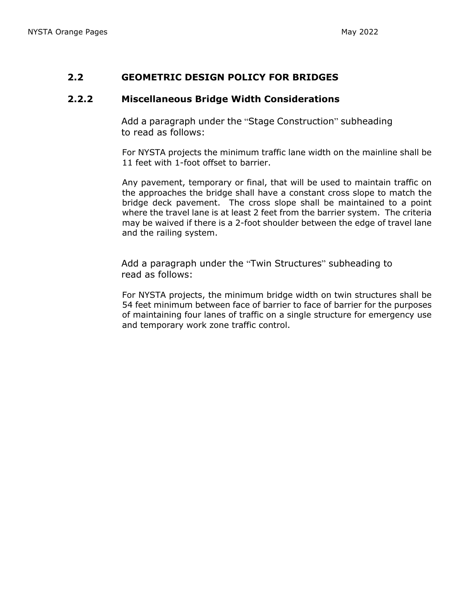## **2.2 GEOMETRIC DESIGN POLICY FOR BRIDGES**

## **2.2.2 Miscellaneous Bridge Width Considerations**

Add a paragraph under the "Stage Construction" subheading to read as follows:

For NYSTA projects the minimum traffic lane width on the mainline shall be 11 feet with 1-foot offset to barrier.

Any pavement, temporary or final, that will be used to maintain traffic on the approaches the bridge shall have a constant cross slope to match the bridge deck pavement. The cross slope shall be maintained to a point where the travel lane is at least 2 feet from the barrier system. The criteria may be waived if there is a 2-foot shoulder between the edge of travel lane and the railing system.

Add a paragraph under the "Twin Structures" subheading to read as follows:

For NYSTA projects, the minimum bridge width on twin structures shall be 54 feet minimum between face of barrier to face of barrier for the purposes of maintaining four lanes of traffic on a single structure for emergency use and temporary work zone traffic control.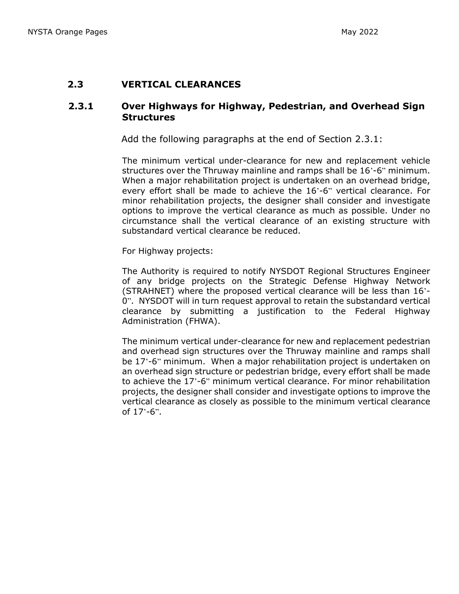#### **2.3 VERTICAL CLEARANCES**

#### **2.3.1 Over Highways for Highway, Pedestrian, and Overhead Sign Structures**

Add the following paragraphs at the end of Section 2.3.1:

The minimum vertical under-clearance for new and replacement vehicle structures over the Thruway mainline and ramps shall be 16'-6" minimum. When a major rehabilitation project is undertaken on an overhead bridge, every effort shall be made to achieve the 16'-6" vertical clearance. For minor rehabilitation projects, the designer shall consider and investigate options to improve the vertical clearance as much as possible. Under no circumstance shall the vertical clearance of an existing structure with substandard vertical clearance be reduced.

For Highway projects:

The Authority is required to notify NYSDOT Regional Structures Engineer of any bridge projects on the Strategic Defense Highway Network (STRAHNET) where the proposed vertical clearance will be less than 16'- 0". NYSDOT will in turn request approval to retain the substandard vertical clearance by submitting a justification to the Federal Highway Administration (FHWA).

The minimum vertical under-clearance for new and replacement pedestrian and overhead sign structures over the Thruway mainline and ramps shall be 17'-6" minimum. When a major rehabilitation project is undertaken on an overhead sign structure or pedestrian bridge, every effort shall be made to achieve the 17'-6" minimum vertical clearance. For minor rehabilitation projects, the designer shall consider and investigate options to improve the vertical clearance as closely as possible to the minimum vertical clearance of  $17 - 6$ ".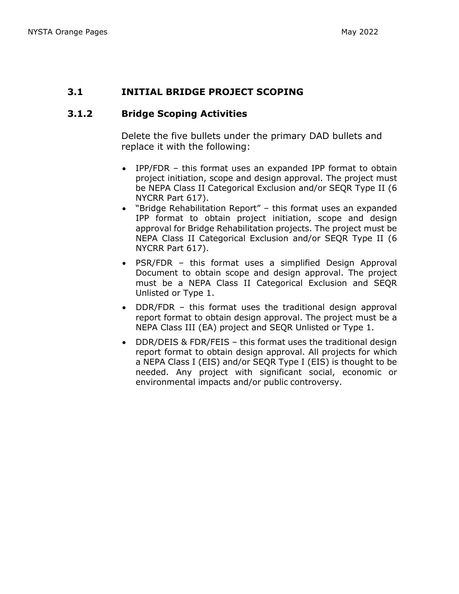## **3.1 INITIAL BRIDGE PROJECT SCOPING**

## **3.1.2 Bridge Scoping Activities**

Delete the five bullets under the primary DAD bullets and replace it with the following:

- IPP/FDR this format uses an expanded IPP format to obtain project initiation, scope and design approval. The project must be NEPA Class II Categorical Exclusion and/or SEQR Type II (6 NYCRR Part 617).
- "Bridge Rehabilitation Report" this format uses an expanded IPP format to obtain project initiation, scope and design approval for Bridge Rehabilitation projects. The project must be NEPA Class II Categorical Exclusion and/or SEQR Type II (6 NYCRR Part 617).
- PSR/FDR this format uses a simplified Design Approval Document to obtain scope and design approval. The project must be a NEPA Class II Categorical Exclusion and SEQR Unlisted or Type 1.
- DDR/FDR this format uses the traditional design approval report format to obtain design approval. The project must be a NEPA Class III (EA) project and SEQR Unlisted or Type 1.
- DDR/DEIS & FDR/FEIS this format uses the traditional design report format to obtain design approval. All projects for which a NEPA Class I (EIS) and/or SEQR Type I (EIS) is thought to be needed. Any project with significant social, economic or environmental impacts and/or public controversy.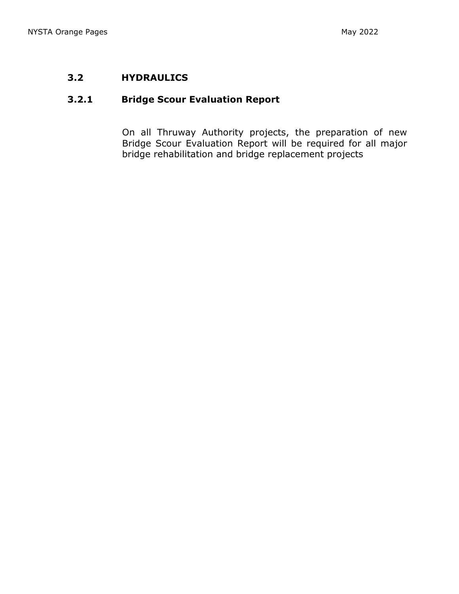# **3.2 HYDRAULICS**

## **3.2.1 Bridge Scour Evaluation Report**

On all Thruway Authority projects, the preparation of new Bridge Scour Evaluation Report will be required for all major bridge rehabilitation and bridge replacement projects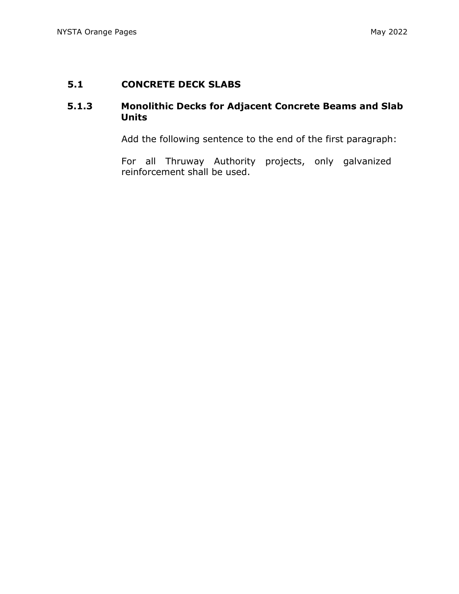## **5.1 CONCRETE DECK SLABS**

## **5.1.3 Monolithic Decks for Adjacent Concrete Beams and Slab Units**

Add the following sentence to the end of the first paragraph:

For all Thruway Authority projects, only galvanized reinforcement shall be used.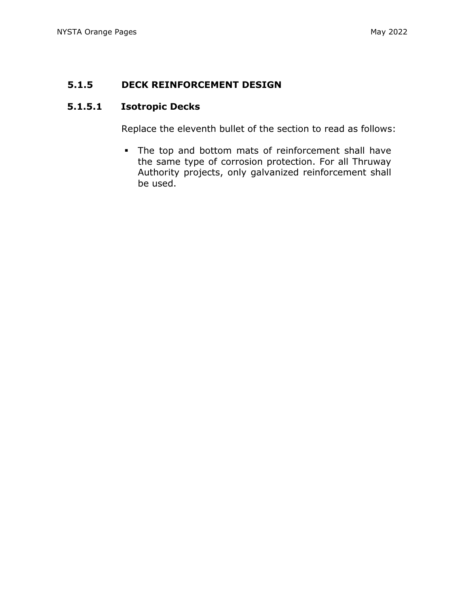## **5.1.5 DECK REINFORCEMENT DESIGN**

## **5.1.5.1 Isotropic Decks**

Replace the eleventh bullet of the section to read as follows:

The top and bottom mats of reinforcement shall have the same type of corrosion protection. For all Thruway Authority projects, only galvanized reinforcement shall be used.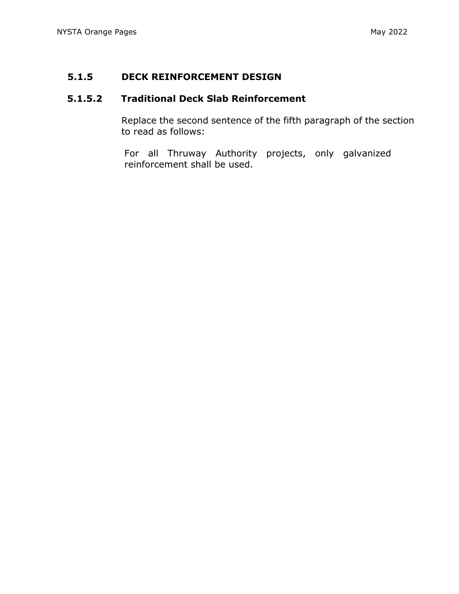## **5.1.5 DECK REINFORCEMENT DESIGN**

# **5.1.5.2 Traditional Deck Slab Reinforcement**

Replace the second sentence of the fifth paragraph of the section to read as follows:

For all Thruway Authority projects, only galvanized reinforcement shall be used.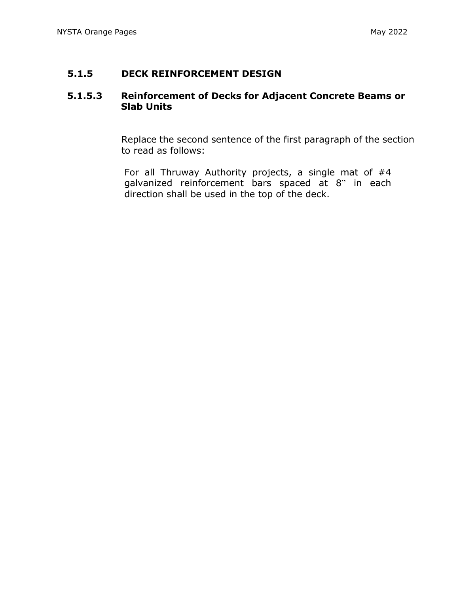## **5.1.5 DECK REINFORCEMENT DESIGN**

## **5.1.5.3 Reinforcement of Decks for Adjacent Concrete Beams or Slab Units**

Replace the second sentence of the first paragraph of the section to read as follows:

For all Thruway Authority projects, a single mat of #4 galvanized reinforcement bars spaced at 8" in each direction shall be used in the top of the deck.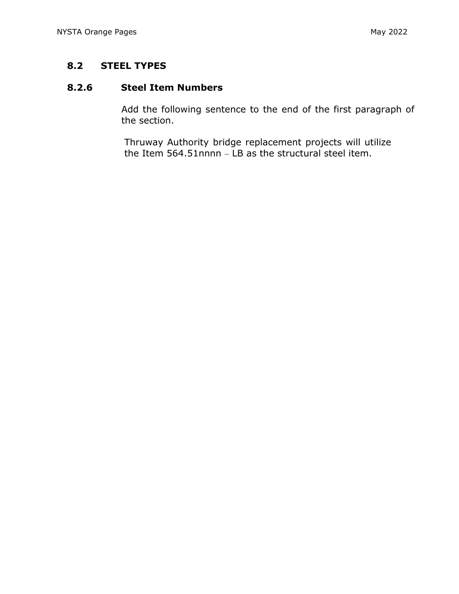# **8.2 STEEL TYPES**

# **8.2.6 Steel Item Numbers**

Add the following sentence to the end of the first paragraph of the section.

Thruway Authority bridge replacement projects will utilize the Item 564.51nnnn – LB as the structural steel item.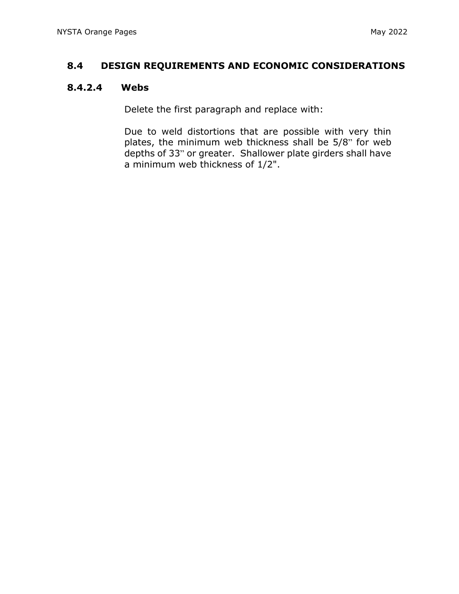## **8.4 DESIGN REQUIREMENTS AND ECONOMIC CONSIDERATIONS**

## **8.4.2.4 Webs**

Delete the first paragraph and replace with:

Due to weld distortions that are possible with very thin plates, the minimum web thickness shall be 5/8" for web depths of 33" or greater. Shallower plate girders shall have a minimum web thickness of 1/2".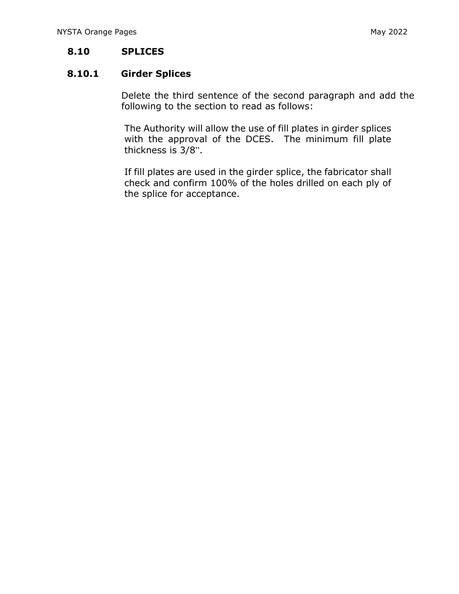## **8.10 SPLICES**

## **8.10.1 Girder Splices**

Delete the third sentence of the second paragraph and add the following to the section to read as follows:

The Authority will allow the use of fill plates in girder splices with the approval of the DCES. The minimum fill plate thickness is 3/8".

If fill plates are used in the girder splice, the fabricator shall check and confirm 100% of the holes drilled on each ply of the splice for acceptance.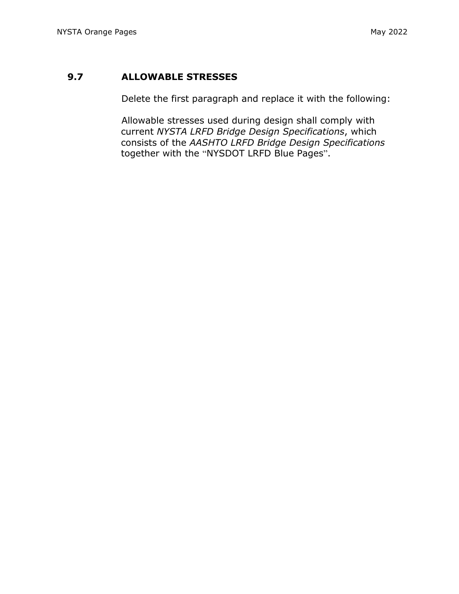## **9.7 ALLOWABLE STRESSES**

Delete the first paragraph and replace it with the following:

Allowable stresses used during design shall comply with current *NYSTA LRFD Bridge Design Specifications*, which consists of the *AASHTO LRFD Bridge Design Specifications* together with the "NYSDOT LRFD Blue Pages".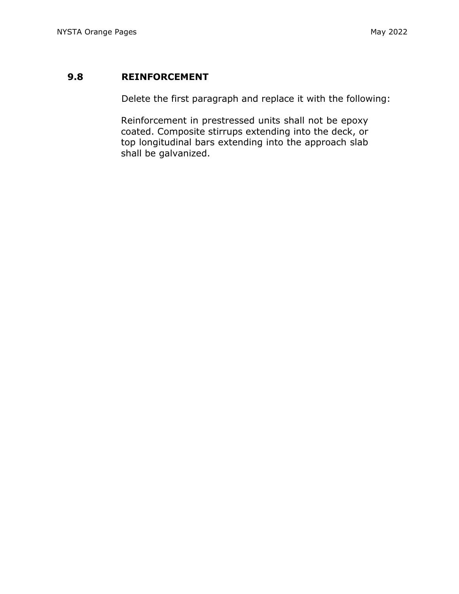## **9.8 REINFORCEMENT**

Delete the first paragraph and replace it with the following:

Reinforcement in prestressed units shall not be epoxy coated. Composite stirrups extending into the deck, or top longitudinal bars extending into the approach slab shall be galvanized.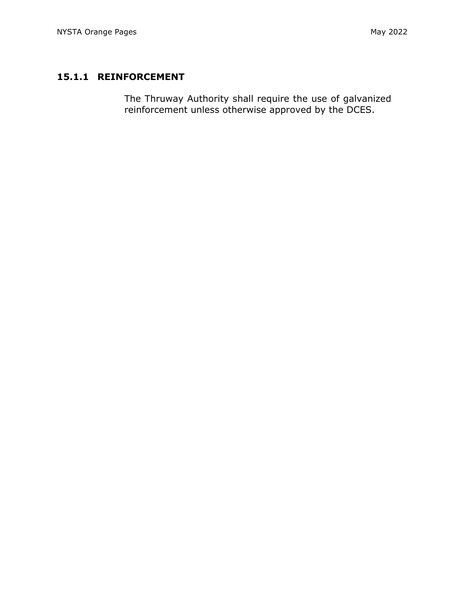# **15.1.1 REINFORCEMENT**

The Thruway Authority shall require the use of galvanized reinforcement unless otherwise approved by the DCES.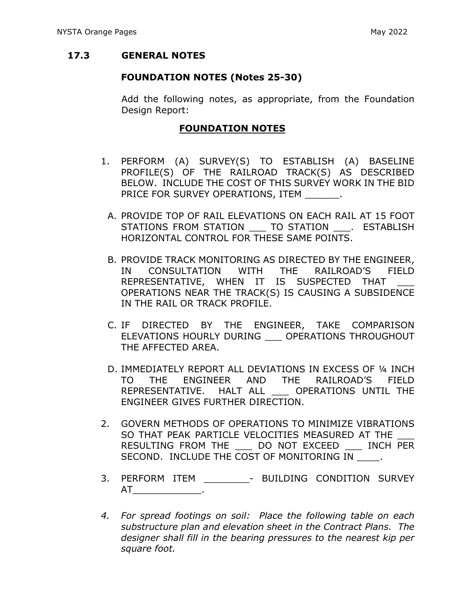## **17.3 GENERAL NOTES**

## **FOUNDATION NOTES (Notes 25-30)**

Add the following notes, as appropriate, from the Foundation Design Report:

## **FOUNDATION NOTES**

- 1. PERFORM (A) SURVEY(S) TO ESTABLISH (A) BASELINE PROFILE(S) OF THE RAILROAD TRACK(S) AS DESCRIBED BELOW. INCLUDE THE COST OF THIS SURVEY WORK IN THE BID PRICE FOR SURVEY OPERATIONS, ITEM
	- A. PROVIDE TOP OF RAIL ELEVATIONS ON EACH RAIL AT 15 FOOT STATIONS FROM STATION TO STATION . ESTABLISH HORIZONTAL CONTROL FOR THESE SAME POINTS.
	- B. PROVIDE TRACK MONITORING AS DIRECTED BY THE ENGINEER, IN CONSULTATION WITH THE RAILROAD'S FIELD REPRESENTATIVE, WHEN IT IS SUSPECTED THAT OPERATIONS NEAR THE TRACK(S) IS CAUSING A SUBSIDENCE IN THE RAIL OR TRACK PROFILE.
	- C. IF DIRECTED BY THE ENGINEER, TAKE COMPARISON ELEVATIONS HOURLY DURING \_\_\_ OPERATIONS THROUGHOUT THE AFFECTED AREA.
	- D. IMMEDIATELY REPORT ALL DEVIATIONS IN EXCESS OF ¼ INCH TO THE ENGINEER AND THE RAILROAD'S FIELD REPRESENTATIVE. HALT ALL \_\_\_ OPERATIONS UNTIL THE ENGINEER GIVES FURTHER DIRECTION.
- 2. GOVERN METHODS OF OPERATIONS TO MINIMIZE VIBRATIONS SO THAT PEAK PARTICLE VELOCITIES MEASURED AT THE RESULTING FROM THE \_\_\_ DO NOT EXCEED \_\_\_ INCH PER SECOND. INCLUDE THE COST OF MONITORING IN .
- 3. PERFORM ITEM BUILDING CONDITION SURVEY  $AT$   $\qquad \qquad .$
- *4. For spread footings on soil: Place the following table on each substructure plan and elevation sheet in the Contract Plans. The designer shall fill in the bearing pressures to the nearest kip per square foot.*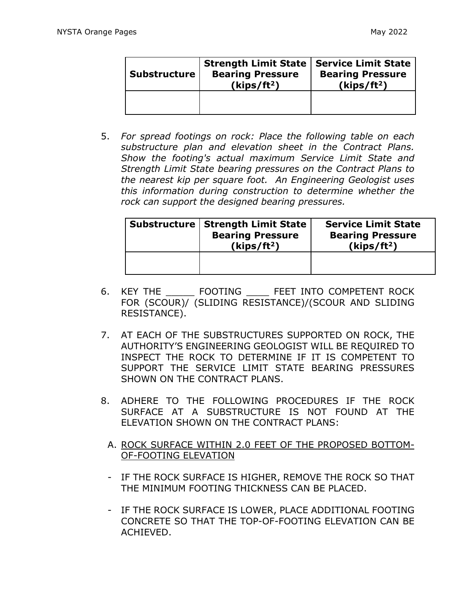| <b>Substructure</b> | <b>Strength Limit State</b><br><b>Bearing Pressure</b><br>(kips/ft <sup>2</sup> ) | <b>Service Limit State</b><br><b>Bearing Pressure</b><br>(kips/ft <sup>2</sup> ) |
|---------------------|-----------------------------------------------------------------------------------|----------------------------------------------------------------------------------|
|                     |                                                                                   |                                                                                  |

5. *For spread footings on rock: Place the following table on each substructure plan and elevation sheet in the Contract Plans. Show the footing's actual maximum Service Limit State and Strength Limit State bearing pressures on the Contract Plans to the nearest kip per square foot. An Engineering Geologist uses this information during construction to determine whether the rock can support the designed bearing pressures.*

| Substructure   Strength Limit State  <br><b>Bearing Pressure</b><br>(kips/ft <sup>2</sup> ) | <b>Service Limit State</b><br><b>Bearing Pressure</b><br>(kips/ft <sup>2</sup> ) |  |
|---------------------------------------------------------------------------------------------|----------------------------------------------------------------------------------|--|
|                                                                                             |                                                                                  |  |

- 6. KEY THE \_\_\_\_\_ FOOTING \_\_\_\_ FEET INTO COMPETENT ROCK FOR (SCOUR)/ (SLIDING RESISTANCE)/(SCOUR AND SLIDING RESISTANCE).
- 7. AT EACH OF THE SUBSTRUCTURES SUPPORTED ON ROCK, THE AUTHORITY'S ENGINEERING GEOLOGIST WILL BE REQUIRED TO INSPECT THE ROCK TO DETERMINE IF IT IS COMPETENT TO SUPPORT THE SERVICE LIMIT STATE BEARING PRESSURES SHOWN ON THE CONTRACT PLANS.
- 8. ADHERE TO THE FOLLOWING PROCEDURES IF THE ROCK SURFACE AT A SUBSTRUCTURE IS NOT FOUND AT THE ELEVATION SHOWN ON THE CONTRACT PLANS:
	- A. ROCK SURFACE WITHIN 2.0 FEET OF THE PROPOSED BOTTOM-OF-FOOTING ELEVATION
	- IF THE ROCK SURFACE IS HIGHER, REMOVE THE ROCK SO THAT THE MINIMUM FOOTING THICKNESS CAN BE PLACED.
	- IF THE ROCK SURFACE IS LOWER, PLACE ADDITIONAL FOOTING CONCRETE SO THAT THE TOP-OF-FOOTING ELEVATION CAN BE ACHIEVED.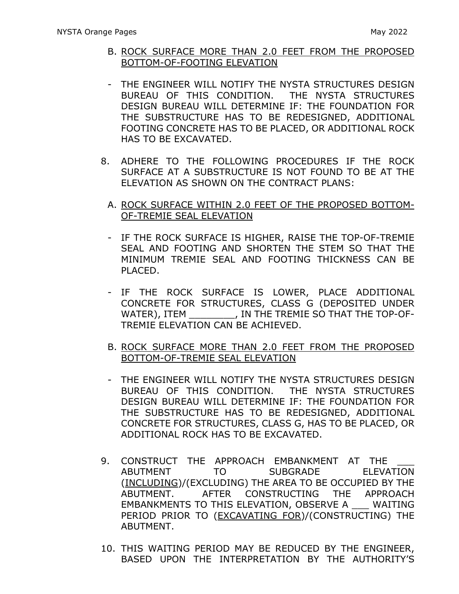- B. ROCK SURFACE MORE THAN 2.0 FEET FROM THE PROPOSED BOTTOM-OF-FOOTING ELEVATION
- THE ENGINEER WILL NOTIFY THE NYSTA STRUCTURES DESIGN BUREAU OF THIS CONDITION. THE NYSTA STRUCTURES DESIGN BUREAU WILL DETERMINE IF: THE FOUNDATION FOR THE SUBSTRUCTURE HAS TO BE REDESIGNED, ADDITIONAL FOOTING CONCRETE HAS TO BE PLACED, OR ADDITIONAL ROCK HAS TO BE EXCAVATED.
- 8. ADHERE TO THE FOLLOWING PROCEDURES IF THE ROCK SURFACE AT A SUBSTRUCTURE IS NOT FOUND TO BE AT THE ELEVATION AS SHOWN ON THE CONTRACT PLANS:
	- A. ROCK SURFACE WITHIN 2.0 FEET OF THE PROPOSED BOTTOM-OF-TREMIE SEAL ELEVATION
	- IF THE ROCK SURFACE IS HIGHER, RAISE THE TOP-OF-TREMIE SEAL AND FOOTING AND SHORTEN THE STEM SO THAT THE MINIMUM TREMIE SEAL AND FOOTING THICKNESS CAN BE PLACED.
	- IF THE ROCK SURFACE IS LOWER, PLACE ADDITIONAL CONCRETE FOR STRUCTURES, CLASS G (DEPOSITED UNDER WATER), ITEM . IN THE TREMIE SO THAT THE TOP-OF-TREMIE ELEVATION CAN BE ACHIEVED.
	- B. ROCK SURFACE MORE THAN 2.0 FEET FROM THE PROPOSED BOTTOM-OF-TREMIE SEAL ELEVATION
	- THE ENGINEER WILL NOTIFY THE NYSTA STRUCTURES DESIGN BUREAU OF THIS CONDITION. THE NYSTA STRUCTURES DESIGN BUREAU WILL DETERMINE IF: THE FOUNDATION FOR THE SUBSTRUCTURE HAS TO BE REDESIGNED, ADDITIONAL CONCRETE FOR STRUCTURES, CLASS G, HAS TO BE PLACED, OR ADDITIONAL ROCK HAS TO BE EXCAVATED.
- 9. CONSTRUCT THE APPROACH EMBANKMENT AT THE ABUTMENT TO SUBGRADE ELEVATION (INCLUDING)/(EXCLUDING) THE AREA TO BE OCCUPIED BY THE ABUTMENT. AFTER CONSTRUCTING THE APPROACH EMBANKMENTS TO THIS ELEVATION, OBSERVE A \_\_\_ WAITING PERIOD PRIOR TO (EXCAVATING FOR)/(CONSTRUCTING) THE ABUTMENT.
- 10. THIS WAITING PERIOD MAY BE REDUCED BY THE ENGINEER, BASED UPON THE INTERPRETATION BY THE AUTHORITY'S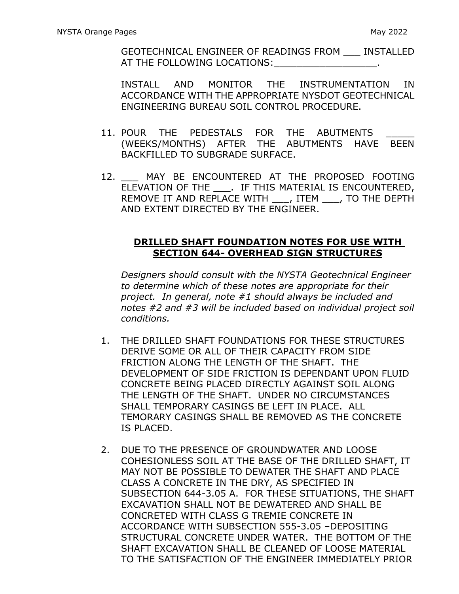GEOTECHNICAL ENGINEER OF READINGS FROM \_\_\_ INSTALLED AT THE FOLLOWING LOCATIONS:

INSTALL AND MONITOR THE INSTRUMENTATION IN ACCORDANCE WITH THE APPROPRIATE NYSDOT GEOTECHNICAL ENGINEERING BUREAU SOIL CONTROL PROCEDURE.

- 11. POUR THE PEDESTALS FOR THE ABUTMENTS (WEEKS/MONTHS) AFTER THE ABUTMENTS HAVE BEEN BACKFILLED TO SUBGRADE SURFACE.
- 12. MAY BE ENCOUNTERED AT THE PROPOSED FOOTING ELEVATION OF THE . IF THIS MATERIAL IS ENCOUNTERED, REMOVE IT AND REPLACE WITH , ITEM , TO THE DEPTH AND EXTENT DIRECTED BY THE ENGINEER.

## **DRILLED SHAFT FOUNDATION NOTES FOR USE WITH SECTION 644- OVERHEAD SIGN STRUCTURES**

*Designers should consult with the NYSTA Geotechnical Engineer to determine which of these notes are appropriate for their project. In general, note #1 should always be included and notes #2 and #3 will be included based on individual project soil conditions.* 

- 1. THE DRILLED SHAFT FOUNDATIONS FOR THESE STRUCTURES DERIVE SOME OR ALL OF THEIR CAPACITY FROM SIDE FRICTION ALONG THE LENGTH OF THE SHAFT. THE DEVELOPMENT OF SIDE FRICTION IS DEPENDANT UPON FLUID CONCRETE BEING PLACED DIRECTLY AGAINST SOIL ALONG THE LENGTH OF THE SHAFT. UNDER NO CIRCUMSTANCES SHALL TEMPORARY CASINGS BE LEFT IN PLACE. ALL TEMORARY CASINGS SHALL BE REMOVED AS THE CONCRETE IS PLACED.
- 2. DUE TO THE PRESENCE OF GROUNDWATER AND LOOSE COHESIONLESS SOIL AT THE BASE OF THE DRILLED SHAFT, IT MAY NOT BE POSSIBLE TO DEWATER THE SHAFT AND PLACE CLASS A CONCRETE IN THE DRY, AS SPECIFIED IN SUBSECTION 644-3.05 A. FOR THESE SITUATIONS, THE SHAFT EXCAVATION SHALL NOT BE DEWATERED AND SHALL BE CONCRETED WITH CLASS G TREMIE CONCRETE IN ACCORDANCE WITH SUBSECTION 555-3.05 –DEPOSITING STRUCTURAL CONCRETE UNDER WATER. THE BOTTOM OF THE SHAFT EXCAVATION SHALL BE CLEANED OF LOOSE MATERIAL TO THE SATISFACTION OF THE ENGINEER IMMEDIATELY PRIOR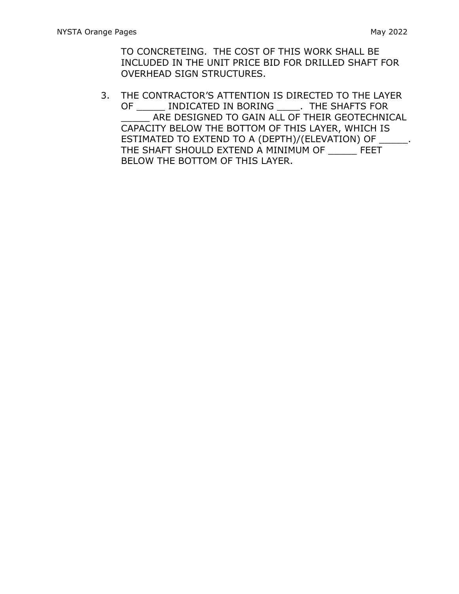TO CONCRETEING. THE COST OF THIS WORK SHALL BE INCLUDED IN THE UNIT PRICE BID FOR DRILLED SHAFT FOR OVERHEAD SIGN STRUCTURES.

3. THE CONTRACTOR'S ATTENTION IS DIRECTED TO THE LAYER OF \_\_\_\_\_ INDICATED IN BORING \_\_\_\_. THE SHAFTS FOR \_\_\_\_\_ ARE DESIGNED TO GAIN ALL OF THEIR GEOTECHNICAL CAPACITY BELOW THE BOTTOM OF THIS LAYER, WHICH IS ESTIMATED TO EXTEND TO A (DEPTH)/(ELEVATION) OF  $\qquad \qquad .$ THE SHAFT SHOULD EXTEND A MINIMUM OF \_\_\_\_\_ FEET BELOW THE BOTTOM OF THIS LAYER.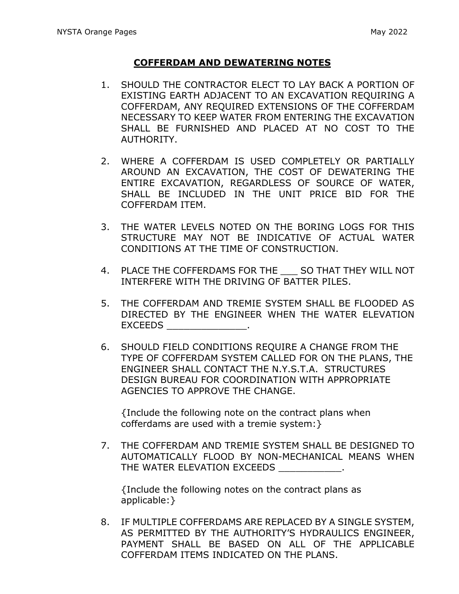#### **COFFERDAM AND DEWATERING NOTES**

- 1. SHOULD THE CONTRACTOR ELECT TO LAY BACK A PORTION OF EXISTING EARTH ADJACENT TO AN EXCAVATION REQUIRING A COFFERDAM, ANY REQUIRED EXTENSIONS OF THE COFFERDAM NECESSARY TO KEEP WATER FROM ENTERING THE EXCAVATION SHALL BE FURNISHED AND PLACED AT NO COST TO THE AUTHORITY.
- 2. WHERE A COFFERDAM IS USED COMPLETELY OR PARTIALLY AROUND AN EXCAVATION, THE COST OF DEWATERING THE ENTIRE EXCAVATION, REGARDLESS OF SOURCE OF WATER, SHALL BE INCLUDED IN THE UNIT PRICE BID FOR THE COFFERDAM ITEM.
- 3. THE WATER LEVELS NOTED ON THE BORING LOGS FOR THIS STRUCTURE MAY NOT BE INDICATIVE OF ACTUAL WATER CONDITIONS AT THE TIME OF CONSTRUCTION.
- 4. PLACE THE COFFERDAMS FOR THE SO THAT THEY WILL NOT INTERFERE WITH THE DRIVING OF BATTER PILES.
- 5. THE COFFERDAM AND TREMIE SYSTEM SHALL BE FLOODED AS DIRECTED BY THE ENGINEER WHEN THE WATER ELEVATION EXCEEDS \_\_\_\_\_\_\_\_\_\_\_\_\_\_.
- 6. SHOULD FIELD CONDITIONS REQUIRE A CHANGE FROM THE TYPE OF COFFERDAM SYSTEM CALLED FOR ON THE PLANS, THE ENGINEER SHALL CONTACT THE N.Y.S.T.A. STRUCTURES DESIGN BUREAU FOR COORDINATION WITH APPROPRIATE AGENCIES TO APPROVE THE CHANGE.

{Include the following note on the contract plans when cofferdams are used with a tremie system:}

7. THE COFFERDAM AND TREMIE SYSTEM SHALL BE DESIGNED TO AUTOMATICALLY FLOOD BY NON-MECHANICAL MEANS WHEN THE WATER ELEVATION EXCEEDS

{Include the following notes on the contract plans as applicable:}

8. IF MULTIPLE COFFERDAMS ARE REPLACED BY A SINGLE SYSTEM, AS PERMITTED BY THE AUTHORITY'S HYDRAULICS ENGINEER, PAYMENT SHALL BE BASED ON ALL OF THE APPLICABLE COFFERDAM ITEMS INDICATED ON THE PLANS.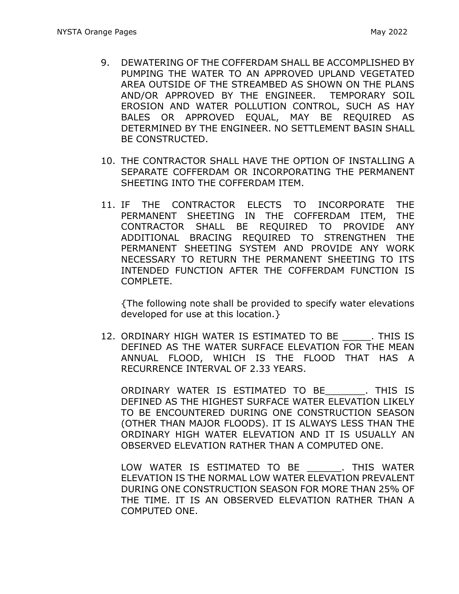- 9. DEWATERING OF THE COFFERDAM SHALL BE ACCOMPLISHED BY PUMPING THE WATER TO AN APPROVED UPLAND VEGETATED AREA OUTSIDE OF THE STREAMBED AS SHOWN ON THE PLANS AND/OR APPROVED BY THE ENGINEER. TEMPORARY SOIL EROSION AND WATER POLLUTION CONTROL, SUCH AS HAY BALES OR APPROVED EQUAL, MAY BE REQUIRED AS DETERMINED BY THE ENGINEER. NO SETTLEMENT BASIN SHALL BE CONSTRUCTED.
- 10. THE CONTRACTOR SHALL HAVE THE OPTION OF INSTALLING A SEPARATE COFFERDAM OR INCORPORATING THE PERMANENT SHEETING INTO THE COFFERDAM ITEM.
- 11. IF THE CONTRACTOR ELECTS TO INCORPORATE THE PERMANENT SHEETING IN THE COFFERDAM ITEM, THE CONTRACTOR SHALL BE REQUIRED TO PROVIDE ANY ADDITIONAL BRACING REQUIRED TO STRENGTHEN THE PERMANENT SHEETING SYSTEM AND PROVIDE ANY WORK NECESSARY TO RETURN THE PERMANENT SHEETING TO ITS INTENDED FUNCTION AFTER THE COFFERDAM FUNCTION IS COMPLETE.

{The following note shall be provided to specify water elevations developed for use at this location.}

12. ORDINARY HIGH WATER IS ESTIMATED TO BE \_\_\_\_\_. THIS IS DEFINED AS THE WATER SURFACE ELEVATION FOR THE MEAN ANNUAL FLOOD, WHICH IS THE FLOOD THAT HAS A RECURRENCE INTERVAL OF 2.33 YEARS.

ORDINARY WATER IS ESTIMATED TO BE\_\_\_\_\_\_\_. THIS IS DEFINED AS THE HIGHEST SURFACE WATER ELEVATION LIKELY TO BE ENCOUNTERED DURING ONE CONSTRUCTION SEASON (OTHER THAN MAJOR FLOODS). IT IS ALWAYS LESS THAN THE ORDINARY HIGH WATER ELEVATION AND IT IS USUALLY AN OBSERVED ELEVATION RATHER THAN A COMPUTED ONE.

LOW WATER IS ESTIMATED TO BE \_\_\_\_\_\_. THIS WATER ELEVATION IS THE NORMAL LOW WATER ELEVATION PREVALENT DURING ONE CONSTRUCTION SEASON FOR MORE THAN 25% OF THE TIME. IT IS AN OBSERVED ELEVATION RATHER THAN A COMPUTED ONE.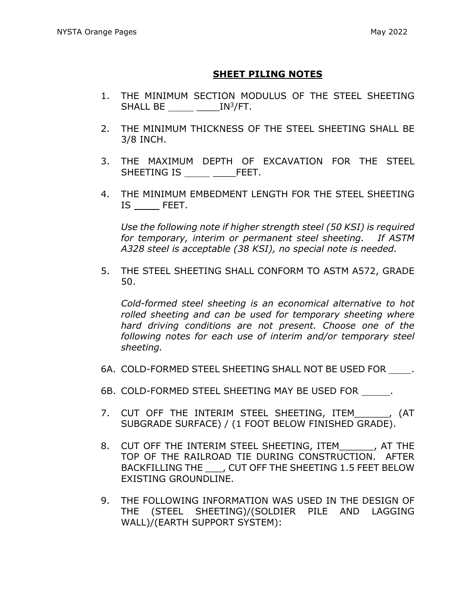## **SHEET PILING NOTES**

- 1. THE MINIMUM SECTION MODULUS OF THE STEEL SHEETING SHALL BE  $\_\_\_\_\_\_\_\_\_\$  IN<sup>3</sup>/FT.
- 2. THE MINIMUM THICKNESS OF THE STEEL SHEETING SHALL BE 3/8 INCH.
- 3. THE MAXIMUM DEPTH OF EXCAVATION FOR THE STEEL SHEETING IS \_\_\_\_FEET.
- 4. THE MINIMUM EMBEDMENT LENGTH FOR THE STEEL SHEETING IS FEET.

*Use the following note if higher strength steel (50 KSI) is required for temporary, interim or permanent steel sheeting. If ASTM A328 steel is acceptable (38 KSI), no special note is needed.*

5. THE STEEL SHEETING SHALL CONFORM TO ASTM A572, GRADE 50.

*Cold-formed steel sheeting is an economical alternative to hot rolled sheeting and can be used for temporary sheeting where hard driving conditions are not present. Choose one of the following notes for each use of interim and/or temporary steel sheeting.* 

- 6A. COLD-FORMED STEEL SHEETING SHALL NOT BE USED FOR .
- 6B. COLD-FORMED STEEL SHEETING MAY BE USED FOR .
- 7. CUT OFF THE INTERIM STEEL SHEETING, ITEM FOR AT SUBGRADE SURFACE) / (1 FOOT BELOW FINISHED GRADE).
- 8. CUT OFF THE INTERIM STEEL SHEETING, ITEM FOR THE TOP OF THE RAILROAD TIE DURING CONSTRUCTION. AFTER BACKFILLING THE FILL OFF THE SHEETING 1.5 FEET BELOW EXISTING GROUNDLINE.
- 9. THE FOLLOWING INFORMATION WAS USED IN THE DESIGN OF THE (STEEL SHEETING)/(SOLDIER PILE AND LAGGING WALL)/(EARTH SUPPORT SYSTEM):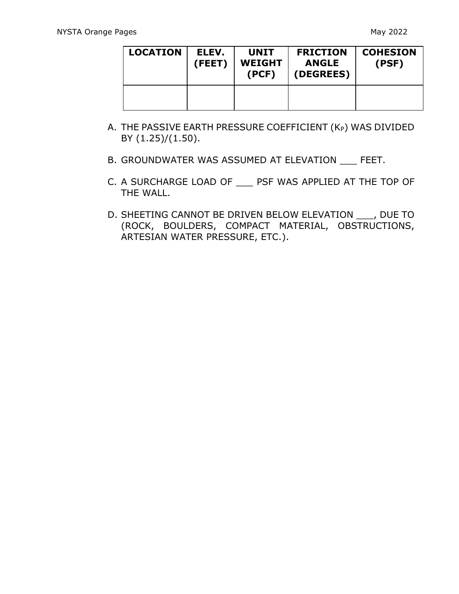| <b>LOCATION</b> | ELEV.<br>(FEET) | <b>UNIT</b><br><b>WEIGHT</b><br>(PCF) | <b>FRICTION</b><br><b>ANGLE</b><br>(DEGREES) | <b>COHESION</b><br>(PSF) |
|-----------------|-----------------|---------------------------------------|----------------------------------------------|--------------------------|
|                 |                 |                                       |                                              |                          |

- A. THE PASSIVE EARTH PRESSURE COEFFICIENT ( $K_P$ ) WAS DIVIDED BY (1.25)/(1.50).
- B. GROUNDWATER WAS ASSUMED AT ELEVATION \_\_\_ FEET.
- C. A SURCHARGE LOAD OF PSF WAS APPLIED AT THE TOP OF THE WALL.
- D. SHEETING CANNOT BE DRIVEN BELOW ELEVATION \_\_\_, DUE TO (ROCK, BOULDERS, COMPACT MATERIAL, OBSTRUCTIONS, ARTESIAN WATER PRESSURE, ETC.).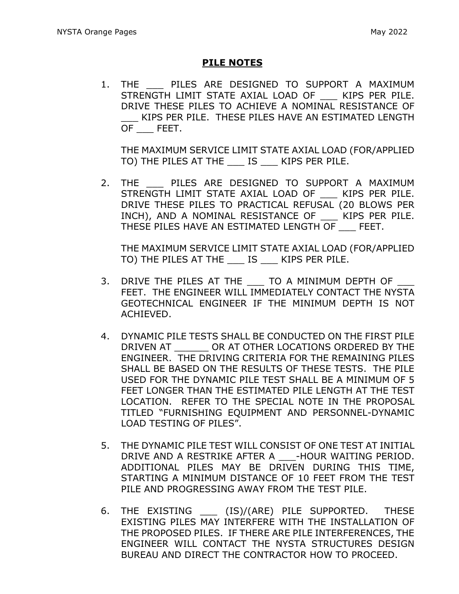## **PILE NOTES**

1. THE PILES ARE DESIGNED TO SUPPORT A MAXIMUM STRENGTH LIMIT STATE AXIAL LOAD OF KIPS PER PILE. DRIVE THESE PILES TO ACHIEVE A NOMINAL RESISTANCE OF \_\_\_ KIPS PER PILE. THESE PILES HAVE AN ESTIMATED LENGTH OF \_\_\_ FEET.

THE MAXIMUM SERVICE LIMIT STATE AXIAL LOAD (FOR/APPLIED TO) THE PILES AT THE \_\_\_ IS \_\_\_ KIPS PER PILE.

2. THE \_\_\_\_ PILES ARE DESIGNED TO SUPPORT A MAXIMUM STRENGTH LIMIT STATE AXIAL LOAD OF \_\_\_ KIPS PER PILE. DRIVE THESE PILES TO PRACTICAL REFUSAL (20 BLOWS PER INCH), AND A NOMINAL RESISTANCE OF KIPS PER PILE. THESE PILES HAVE AN ESTIMATED LENGTH OF \_\_\_ FEET.

THE MAXIMUM SERVICE LIMIT STATE AXIAL LOAD (FOR/APPLIED TO) THE PILES AT THE \_\_\_ IS \_\_\_ KIPS PER PILE.

- 3. DRIVE THE PILES AT THE \_\_\_ TO A MINIMUM DEPTH OF FEET. THE ENGINEER WILL IMMEDIATELY CONTACT THE NYSTA GEOTECHNICAL ENGINEER IF THE MINIMUM DEPTH IS NOT ACHIEVED.
- 4. DYNAMIC PILE TESTS SHALL BE CONDUCTED ON THE FIRST PILE DRIVEN AT \_\_\_\_\_\_ OR AT OTHER LOCATIONS ORDERED BY THE ENGINEER. THE DRIVING CRITERIA FOR THE REMAINING PILES SHALL BE BASED ON THE RESULTS OF THESE TESTS. THE PILE USED FOR THE DYNAMIC PILE TEST SHALL BE A MINIMUM OF 5 FEET LONGER THAN THE ESTIMATED PILE LENGTH AT THE TEST LOCATION. REFER TO THE SPECIAL NOTE IN THE PROPOSAL TITLED "FURNISHING EQUIPMENT AND PERSONNEL-DYNAMIC LOAD TESTING OF PILES".
- 5. THE DYNAMIC PILE TEST WILL CONSIST OF ONE TEST AT INITIAL DRIVE AND A RESTRIKE AFTER A \_\_\_-HOUR WAITING PERIOD. ADDITIONAL PILES MAY BE DRIVEN DURING THIS TIME, STARTING A MINIMUM DISTANCE OF 10 FEET FROM THE TEST PILE AND PROGRESSING AWAY FROM THE TEST PILE.
- 6. THE EXISTING (IS)/(ARE) PILE SUPPORTED. THESE EXISTING PILES MAY INTERFERE WITH THE INSTALLATION OF THE PROPOSED PILES. IF THERE ARE PILE INTERFERENCES, THE ENGINEER WILL CONTACT THE NYSTA STRUCTURES DESIGN BUREAU AND DIRECT THE CONTRACTOR HOW TO PROCEED.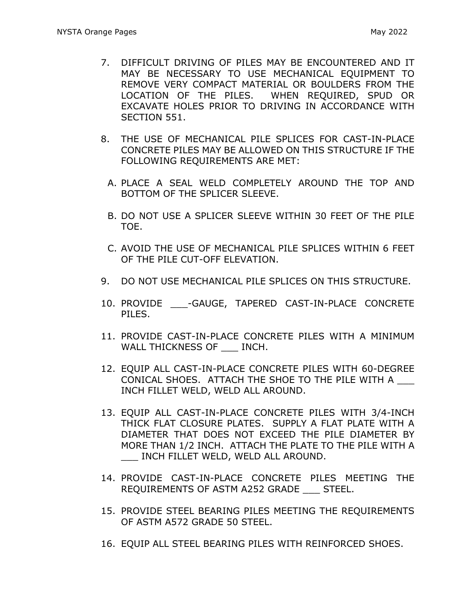- 7. DIFFICULT DRIVING OF PILES MAY BE ENCOUNTERED AND IT MAY BE NECESSARY TO USE MECHANICAL EQUIPMENT TO REMOVE VERY COMPACT MATERIAL OR BOULDERS FROM THE LOCATION OF THE PILES. WHEN REQUIRED, SPUD OR EXCAVATE HOLES PRIOR TO DRIVING IN ACCORDANCE WITH SECTION 551.
- 8. THE USE OF MECHANICAL PILE SPLICES FOR CAST-IN-PLACE CONCRETE PILES MAY BE ALLOWED ON THIS STRUCTURE IF THE FOLLOWING REQUIREMENTS ARE MET:
	- A. PLACE A SEAL WELD COMPLETELY AROUND THE TOP AND BOTTOM OF THE SPLICER SLEEVE.
	- B. DO NOT USE A SPLICER SLEEVE WITHIN 30 FEET OF THE PILE TOE.
	- C. AVOID THE USE OF MECHANICAL PILE SPLICES WITHIN 6 FEET OF THE PILE CUT-OFF ELEVATION.
- 9. DO NOT USE MECHANICAL PILE SPLICES ON THIS STRUCTURE.
- 10. PROVIDE \_\_\_-GAUGE, TAPERED CAST-IN-PLACE CONCRETE PILES.
- 11. PROVIDE CAST-IN-PLACE CONCRETE PILES WITH A MINIMUM WALL THICKNESS OF **INCH.**
- 12. EQUIP ALL CAST-IN-PLACE CONCRETE PILES WITH 60-DEGREE CONICAL SHOES. ATTACH THE SHOE TO THE PILE WITH A \_\_\_ INCH FILLET WELD, WELD ALL AROUND.
- 13. EQUIP ALL CAST-IN-PLACE CONCRETE PILES WITH 3/4-INCH THICK FLAT CLOSURE PLATES. SUPPLY A FLAT PLATE WITH A DIAMETER THAT DOES NOT EXCEED THE PILE DIAMETER BY MORE THAN 1/2 INCH. ATTACH THE PLATE TO THE PILE WITH A \_\_\_ INCH FILLET WELD, WELD ALL AROUND.
- 14. PROVIDE CAST-IN-PLACE CONCRETE PILES MEETING THE REQUIREMENTS OF ASTM A252 GRADE \_\_\_ STEEL.
- 15. PROVIDE STEEL BEARING PILES MEETING THE REQUIREMENTS OF ASTM A572 GRADE 50 STEEL.
- 16. EQUIP ALL STEEL BEARING PILES WITH REINFORCED SHOES.